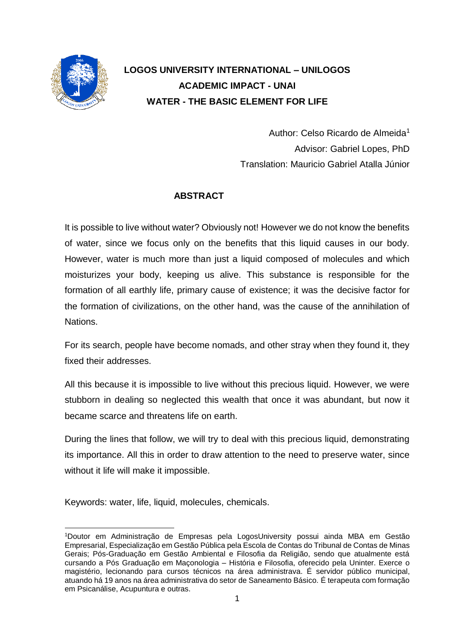

# **LOGOS UNIVERSITY INTERNATIONAL – UNILOGOS ACADEMIC IMPACT - UNAI WATER - THE BASIC ELEMENT FOR LIFE**

Author: Celso Ricardo de Almeida<sup>1</sup> Advisor: Gabriel Lopes, PhD Translation: Mauricio Gabriel Atalla Júnior

## **ABSTRACT**

It is possible to live without water? Obviously not! However we do not know the benefits of water, since we focus only on the benefits that this liquid causes in our body. However, water is much more than just a liquid composed of molecules and which moisturizes your body, keeping us alive. This substance is responsible for the formation of all earthly life, primary cause of existence; it was the decisive factor for the formation of civilizations, on the other hand, was the cause of the annihilation of Nations.

For its search, people have become nomads, and other stray when they found it, they fixed their addresses.

All this because it is impossible to live without this precious liquid. However, we were stubborn in dealing so neglected this wealth that once it was abundant, but now it became scarce and threatens life on earth.

During the lines that follow, we will try to deal with this precious liquid, demonstrating its importance. All this in order to draw attention to the need to preserve water, since without it life will make it impossible.

Keywords: water, life, liquid, molecules, chemicals.

 $\overline{a}$ <sup>1</sup>Doutor em Administração de Empresas pela LogosUniversity possui ainda MBA em Gestão Empresarial, Especialização em Gestão Pública pela Escola de Contas do Tribunal de Contas de Minas Gerais; Pós-Graduação em Gestão Ambiental e Filosofia da Religião, sendo que atualmente está cursando a Pós Graduação em Maçonologia – História e Filosofia, oferecido pela Uninter. Exerce o magistério, lecionando para cursos técnicos na área administrava. É servidor público municipal, atuando há 19 anos na área administrativa do setor de Saneamento Básico. É terapeuta com formação em Psicanálise, Acupuntura e outras.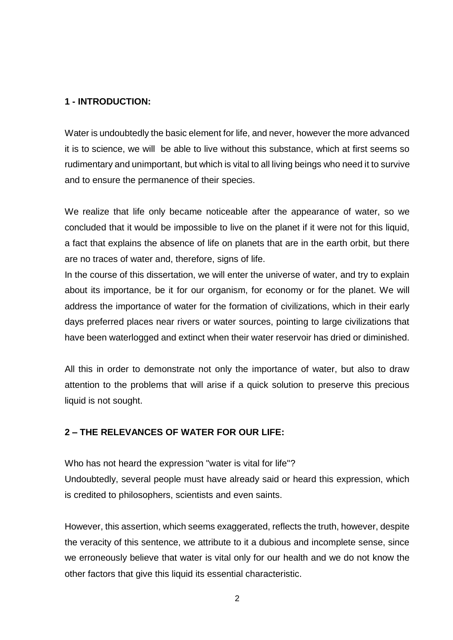#### **1 - INTRODUCTION:**

Water is undoubtedly the basic element for life, and never, however the more advanced it is to science, we will be able to live without this substance, which at first seems so rudimentary and unimportant, but which is vital to all living beings who need it to survive and to ensure the permanence of their species.

We realize that life only became noticeable after the appearance of water, so we concluded that it would be impossible to live on the planet if it were not for this liquid, a fact that explains the absence of life on planets that are in the earth orbit, but there are no traces of water and, therefore, signs of life.

In the course of this dissertation, we will enter the universe of water, and try to explain about its importance, be it for our organism, for economy or for the planet. We will address the importance of water for the formation of civilizations, which in their early days preferred places near rivers or water sources, pointing to large civilizations that have been waterlogged and extinct when their water reservoir has dried or diminished.

All this in order to demonstrate not only the importance of water, but also to draw attention to the problems that will arise if a quick solution to preserve this precious liquid is not sought.

#### **2 – THE RELEVANCES OF WATER FOR OUR LIFE:**

Who has not heard the expression "water is vital for life"?

Undoubtedly, several people must have already said or heard this expression, which is credited to philosophers, scientists and even saints.

However, this assertion, which seems exaggerated, reflects the truth, however, despite the veracity of this sentence, we attribute to it a dubious and incomplete sense, since we erroneously believe that water is vital only for our health and we do not know the other factors that give this liquid its essential characteristic.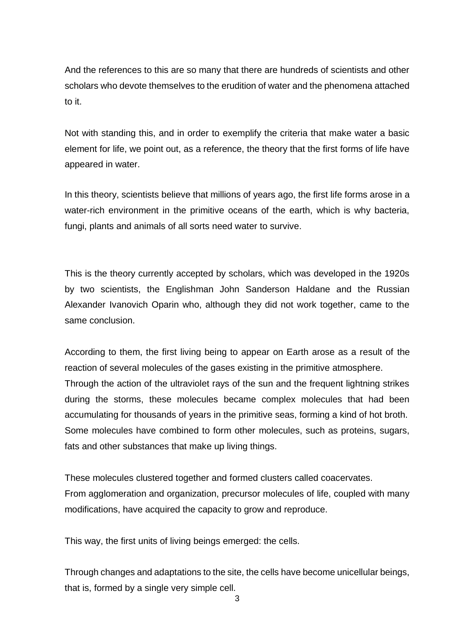And the references to this are so many that there are hundreds of scientists and other scholars who devote themselves to the erudition of water and the phenomena attached to it.

Not with standing this, and in order to exemplify the criteria that make water a basic element for life, we point out, as a reference, the theory that the first forms of life have appeared in water.

In this theory, scientists believe that millions of years ago, the first life forms arose in a water-rich environment in the primitive oceans of the earth, which is why bacteria, fungi, plants and animals of all sorts need water to survive.

This is the theory currently accepted by scholars, which was developed in the 1920s by two scientists, the Englishman John Sanderson Haldane and the Russian Alexander Ivanovich Oparin who, although they did not work together, came to the same conclusion.

According to them, the first living being to appear on Earth arose as a result of the reaction of several molecules of the gases existing in the primitive atmosphere. Through the action of the ultraviolet rays of the sun and the frequent lightning strikes during the storms, these molecules became complex molecules that had been accumulating for thousands of years in the primitive seas, forming a kind of hot broth. Some molecules have combined to form other molecules, such as proteins, sugars, fats and other substances that make up living things.

These molecules clustered together and formed clusters called coacervates. From agglomeration and organization, precursor molecules of life, coupled with many modifications, have acquired the capacity to grow and reproduce.

This way, the first units of living beings emerged: the cells.

Through changes and adaptations to the site, the cells have become unicellular beings, that is, formed by a single very simple cell.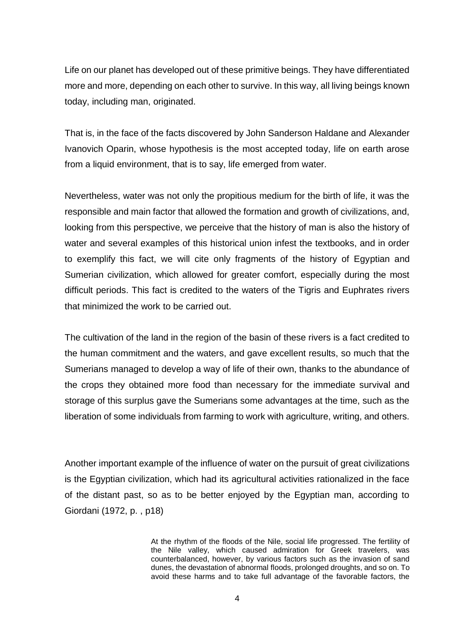Life on our planet has developed out of these primitive beings. They have differentiated more and more, depending on each other to survive. In this way, all living beings known today, including man, originated.

That is, in the face of the facts discovered by John Sanderson Haldane and Alexander Ivanovich Oparin, whose hypothesis is the most accepted today, life on earth arose from a liquid environment, that is to say, life emerged from water.

Nevertheless, water was not only the propitious medium for the birth of life, it was the responsible and main factor that allowed the formation and growth of civilizations, and, looking from this perspective, we perceive that the history of man is also the history of water and several examples of this historical union infest the textbooks, and in order to exemplify this fact, we will cite only fragments of the history of Egyptian and Sumerian civilization, which allowed for greater comfort, especially during the most difficult periods. This fact is credited to the waters of the Tigris and Euphrates rivers that minimized the work to be carried out.

The cultivation of the land in the region of the basin of these rivers is a fact credited to the human commitment and the waters, and gave excellent results, so much that the Sumerians managed to develop a way of life of their own, thanks to the abundance of the crops they obtained more food than necessary for the immediate survival and storage of this surplus gave the Sumerians some advantages at the time, such as the liberation of some individuals from farming to work with agriculture, writing, and others.

Another important example of the influence of water on the pursuit of great civilizations is the Egyptian civilization, which had its agricultural activities rationalized in the face of the distant past, so as to be better enjoyed by the Egyptian man, according to Giordani (1972, p. , p18)

> At the rhythm of the floods of the Nile, social life progressed. The fertility of the Nile valley, which caused admiration for Greek travelers, was counterbalanced, however, by various factors such as the invasion of sand dunes, the devastation of abnormal floods, prolonged droughts, and so on. To avoid these harms and to take full advantage of the favorable factors, the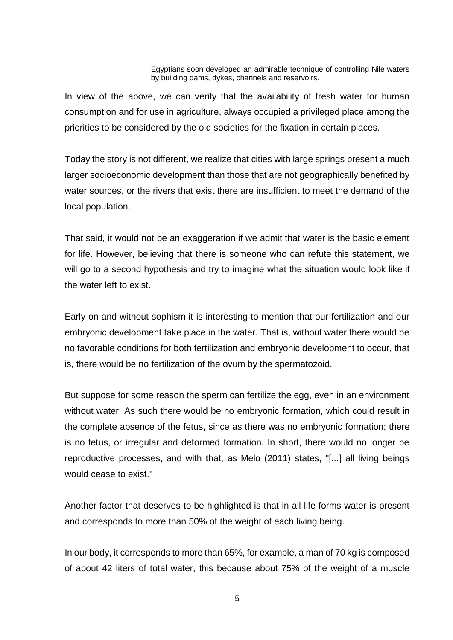Egyptians soon developed an admirable technique of controlling Nile waters by building dams, dykes, channels and reservoirs.

In view of the above, we can verify that the availability of fresh water for human consumption and for use in agriculture, always occupied a privileged place among the priorities to be considered by the old societies for the fixation in certain places.

Today the story is not different, we realize that cities with large springs present a much larger socioeconomic development than those that are not geographically benefited by water sources, or the rivers that exist there are insufficient to meet the demand of the local population.

That said, it would not be an exaggeration if we admit that water is the basic element for life. However, believing that there is someone who can refute this statement, we will go to a second hypothesis and try to imagine what the situation would look like if the water left to exist.

Early on and without sophism it is interesting to mention that our fertilization and our embryonic development take place in the water. That is, without water there would be no favorable conditions for both fertilization and embryonic development to occur, that is, there would be no fertilization of the ovum by the spermatozoid.

But suppose for some reason the sperm can fertilize the egg, even in an environment without water. As such there would be no embryonic formation, which could result in the complete absence of the fetus, since as there was no embryonic formation; there is no fetus, or irregular and deformed formation. In short, there would no longer be reproductive processes, and with that, as Melo (2011) states, "[...] all living beings would cease to exist."

Another factor that deserves to be highlighted is that in all life forms water is present and corresponds to more than 50% of the weight of each living being.

In our body, it corresponds to more than 65%, for example, a man of 70 kg is composed of about 42 liters of total water, this because about 75% of the weight of a muscle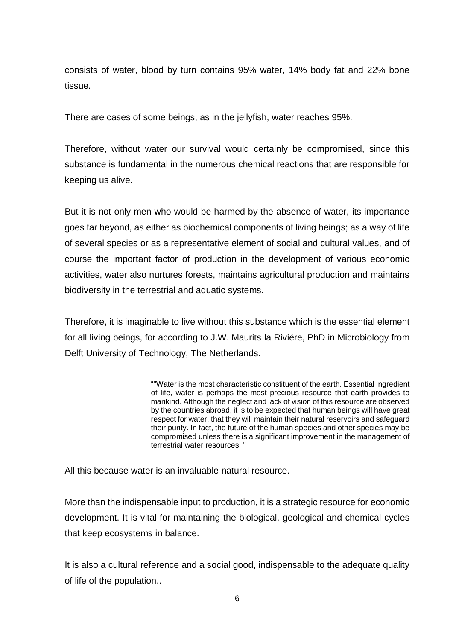consists of water, blood by turn contains 95% water, 14% body fat and 22% bone tissue.

There are cases of some beings, as in the jellyfish, water reaches 95%.

Therefore, without water our survival would certainly be compromised, since this substance is fundamental in the numerous chemical reactions that are responsible for keeping us alive.

But it is not only men who would be harmed by the absence of water, its importance goes far beyond, as either as biochemical components of living beings; as a way of life of several species or as a representative element of social and cultural values, and of course the important factor of production in the development of various economic activities, water also nurtures forests, maintains agricultural production and maintains biodiversity in the terrestrial and aquatic systems.

Therefore, it is imaginable to live without this substance which is the essential element for all living beings, for according to J.W. Maurits la Riviére, PhD in Microbiology from Delft University of Technology, The Netherlands.

> ""Water is the most characteristic constituent of the earth. Essential ingredient of life, water is perhaps the most precious resource that earth provides to mankind. Although the neglect and lack of vision of this resource are observed by the countries abroad, it is to be expected that human beings will have great respect for water, that they will maintain their natural reservoirs and safeguard their purity. In fact, the future of the human species and other species may be compromised unless there is a significant improvement in the management of terrestrial water resources. "

All this because water is an invaluable natural resource.

More than the indispensable input to production, it is a strategic resource for economic development. It is vital for maintaining the biological, geological and chemical cycles that keep ecosystems in balance.

It is also a cultural reference and a social good, indispensable to the adequate quality of life of the population..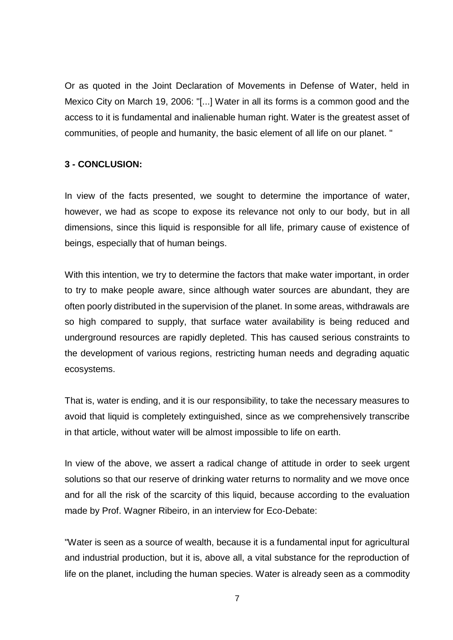Or as quoted in the Joint Declaration of Movements in Defense of Water, held in Mexico City on March 19, 2006: "[...] Water in all its forms is a common good and the access to it is fundamental and inalienable human right. Water is the greatest asset of communities, of people and humanity, the basic element of all life on our planet. "

### **3 - CONCLUSION:**

In view of the facts presented, we sought to determine the importance of water, however, we had as scope to expose its relevance not only to our body, but in all dimensions, since this liquid is responsible for all life, primary cause of existence of beings, especially that of human beings.

With this intention, we try to determine the factors that make water important, in order to try to make people aware, since although water sources are abundant, they are often poorly distributed in the supervision of the planet. In some areas, withdrawals are so high compared to supply, that surface water availability is being reduced and underground resources are rapidly depleted. This has caused serious constraints to the development of various regions, restricting human needs and degrading aquatic ecosystems.

That is, water is ending, and it is our responsibility, to take the necessary measures to avoid that liquid is completely extinguished, since as we comprehensively transcribe in that article, without water will be almost impossible to life on earth.

In view of the above, we assert a radical change of attitude in order to seek urgent solutions so that our reserve of drinking water returns to normality and we move once and for all the risk of the scarcity of this liquid, because according to the evaluation made by Prof. Wagner Ribeiro, in an interview for Eco-Debate:

"Water is seen as a source of wealth, because it is a fundamental input for agricultural and industrial production, but it is, above all, a vital substance for the reproduction of life on the planet, including the human species. Water is already seen as a commodity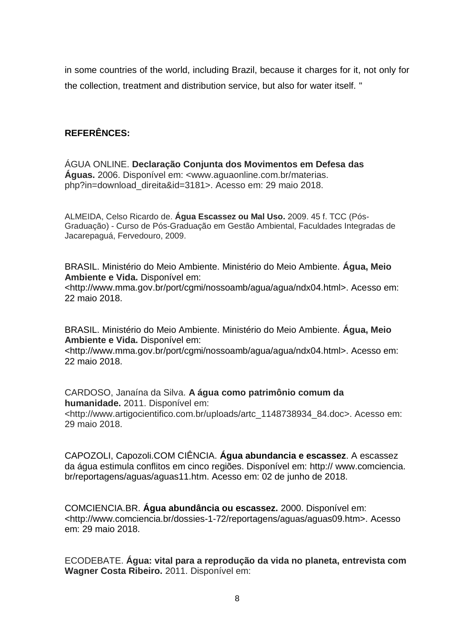in some countries of the world, including Brazil, because it charges for it, not only for the collection, treatment and distribution service, but also for water itself. "

## **REFERÊNCES:**

ÁGUA ONLINE. **Declaração Conjunta dos Movimentos em Defesa das Águas.** 2006. Disponível em: <www.aguaonline.com.br/materias. php?in=download\_direita&id=3181>. Acesso em: 29 maio 2018.

ALMEIDA, Celso Ricardo de. **Água Escassez ou Mal Uso.** 2009. 45 f. TCC (Pós-Graduação) - Curso de Pós-Graduação em Gestão Ambiental, Faculdades Integradas de Jacarepaguá, Fervedouro, 2009.

BRASIL. Ministério do Meio Ambiente. Ministério do Meio Ambiente. **Água, Meio Ambiente e Vida.** Disponível em: <http://www.mma.gov.br/port/cgmi/nossoamb/agua/agua/ndx04.html>. Acesso em: 22 maio 2018.

BRASIL. Ministério do Meio Ambiente. Ministério do Meio Ambiente. **Água, Meio Ambiente e Vida.** Disponível em:

<http://www.mma.gov.br/port/cgmi/nossoamb/agua/agua/ndx04.html>. Acesso em: 22 maio 2018.

CARDOSO, Janaína da Silva. **A água como patrimônio comum da humanidade.** 2011. Disponível em: <http://www.artigocientifico.com.br/uploads/artc\_1148738934\_84.doc>. Acesso em: 29 maio 2018.

CAPOZOLI, Capozoli.COM CIÊNCIA. **Água abundancia e escassez**. A escassez da água estimula conflitos em cinco regiões. Disponível em: http:// www.comciencia. br/reportagens/aguas/aguas11.htm. Acesso em: 02 de junho de 2018.

COMCIENCIA.BR. **Água abundância ou escassez.** 2000. Disponível em: <http://www.comciencia.br/dossies-1-72/reportagens/aguas/aguas09.htm>. Acesso em: 29 maio 2018.

ECODEBATE. **Água: vital para a reprodução da vida no planeta, entrevista com Wagner Costa Ribeiro.** 2011. Disponível em: